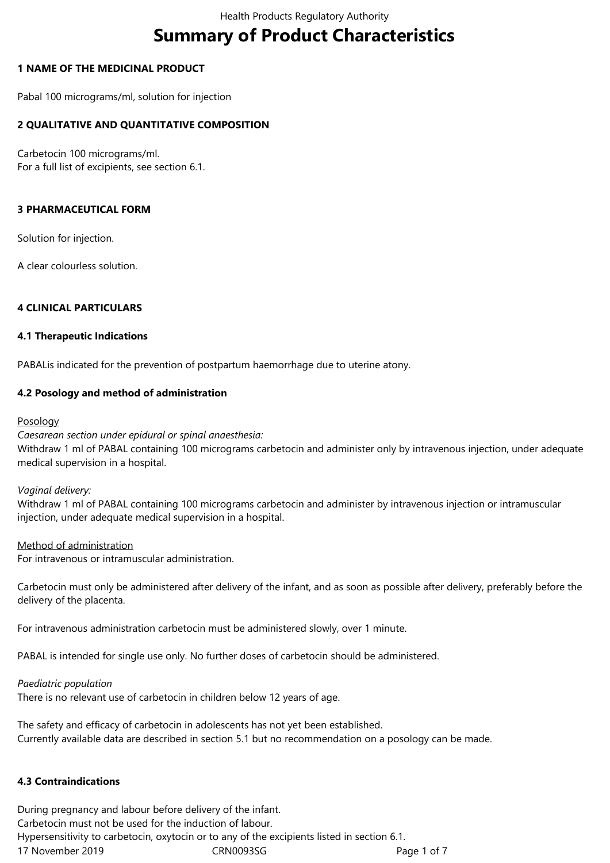# **Summary of Product Characteristics**

## **1 NAME OF THE MEDICINAL PRODUCT**

Pabal 100 micrograms/ml, solution for injection

## **2 QUALITATIVE AND QUANTITATIVE COMPOSITION**

Carbetocin 100 micrograms/ml. For a full list of excipients, see section 6.1.

#### **3 PHARMACEUTICAL FORM**

Solution for injection.

A clear colourless solution.

## **4 CLINICAL PARTICULARS**

#### **4.1 Therapeutic Indications**

PABALis indicated for the prevention of postpartum haemorrhage due to uterine atony.

## **4.2 Posology and method of administration**

#### Posology

#### *Caesarean section under epidural or spinal anaesthesia:*

Withdraw 1 ml of PABAL containing 100 micrograms carbetocin and administer only by intravenous injection, under adequate medical supervision in a hospital.

#### *Vaginal delivery:*

Withdraw 1 ml of PABAL containing 100 micrograms carbetocin and administer by intravenous injection or intramuscular injection, under adequate medical supervision in a hospital.

#### Method of administration

For intravenous or intramuscular administration.

Carbetocin must only be administered after delivery of the infant, and as soon as possible after delivery, preferably before the delivery of the placenta.

For intravenous administration carbetocin must be administered slowly, over 1 minute.

PABAL is intended for single use only. No further doses of carbetocin should be administered.

#### *Paediatric population*

There is no relevant use of carbetocin in children below 12 years of age.

The safety and efficacy of carbetocin in adolescents has not yet been established. Currently available data are described in section 5.1 but no recommendation on a posology can be made.

## **4.3 Contraindications**

17 November 2019 CRN0093SG Page 1 of 7 During pregnancy and labour before delivery of the infant. Carbetocin must not be used for the induction of labour. Hypersensitivity to carbetocin, oxytocin or to any of the excipients listed in section 6.1.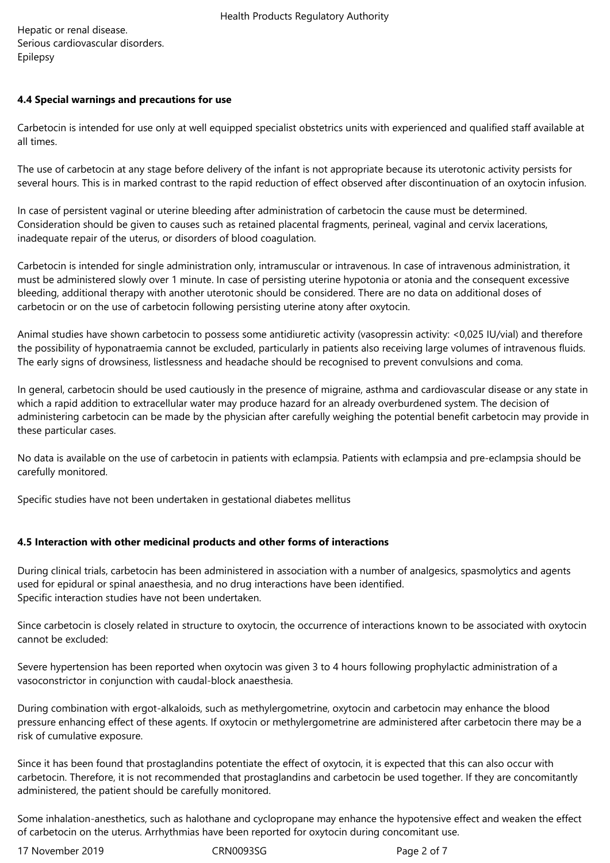Hepatic or renal disease. Serious cardiovascular disorders. Epilepsy

## **4.4 Special warnings and precautions for use**

Carbetocin is intended for use only at well equipped specialist obstetrics units with experienced and qualified staff available at all times.

The use of carbetocin at any stage before delivery of the infant is not appropriate because its uterotonic activity persists for several hours. This is in marked contrast to the rapid reduction of effect observed after discontinuation of an oxytocin infusion.

In case of persistent vaginal or uterine bleeding after administration of carbetocin the cause must be determined. Consideration should be given to causes such as retained placental fragments, perineal, vaginal and cervix lacerations, inadequate repair of the uterus, or disorders of blood coagulation.

Carbetocin is intended for single administration only, intramuscular or intravenous. In case of intravenous administration, it must be administered slowly over 1 minute. In case of persisting uterine hypotonia or atonia and the consequent excessive bleeding, additional therapy with another uterotonic should be considered. There are no data on additional doses of carbetocin or on the use of carbetocin following persisting uterine atony after oxytocin.

Animal studies have shown carbetocin to possess some antidiuretic activity (vasopressin activity: <0,025 IU/vial) and therefore the possibility of hyponatraemia cannot be excluded, particularly in patients also receiving large volumes of intravenous fluids. The early signs of drowsiness, listlessness and headache should be recognised to prevent convulsions and coma.

In general, carbetocin should be used cautiously in the presence of migraine, asthma and cardiovascular disease or any state in which a rapid addition to extracellular water may produce hazard for an already overburdened system. The decision of administering carbetocin can be made by the physician after carefully weighing the potential benefit carbetocin may provide in these particular cases.

No data is available on the use of carbetocin in patients with eclampsia. Patients with eclampsia and pre-eclampsia should be carefully monitored.

Specific studies have not been undertaken in gestational diabetes mellitus

# **4.5 Interaction with other medicinal products and other forms of interactions**

During clinical trials, carbetocin has been administered in association with a number of analgesics, spasmolytics and agents used for epidural or spinal anaesthesia, and no drug interactions have been identified. Specific interaction studies have not been undertaken.

Since carbetocin is closely related in structure to oxytocin, the occurrence of interactions known to be associated with oxytocin cannot be excluded:

Severe hypertension has been reported when oxytocin was given 3 to 4 hours following prophylactic administration of a vasoconstrictor in conjunction with caudal-block anaesthesia.

During combination with ergot-alkaloids, such as methylergometrine, oxytocin and carbetocin may enhance the blood pressure enhancing effect of these agents. If oxytocin or methylergometrine are administered after carbetocin there may be a risk of cumulative exposure.

Since it has been found that prostaglandins potentiate the effect of oxytocin, it is expected that this can also occur with carbetocin. Therefore, it is not recommended that prostaglandins and carbetocin be used together. If they are concomitantly administered, the patient should be carefully monitored.

Some inhalation-anesthetics, such as halothane and cyclopropane may enhance the hypotensive effect and weaken the effect of carbetocin on the uterus. Arrhythmias have been reported for oxytocin during concomitant use.

17 November 2019 CRN0093SG Page 2 of 7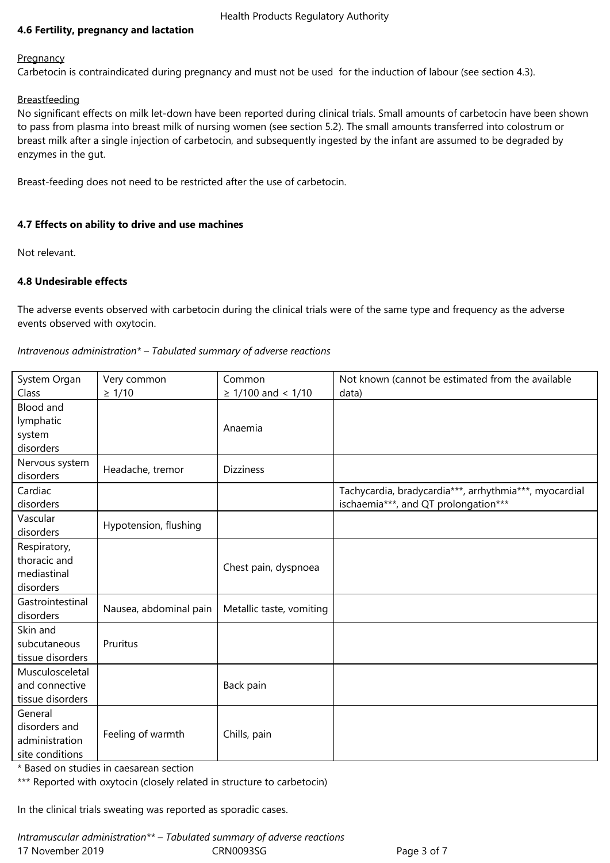# **4.6 Fertility, pregnancy and lactation**

#### **Pregnancy**

Carbetocin is contraindicated during pregnancy and must not be used for the induction of labour (see section 4.3).

#### **Breastfeeding**

No significant effects on milk let-down have been reported during clinical trials. Small amounts of carbetocin have been shown to pass from plasma into breast milk of nursing women (see section 5.2). The small amounts transferred into colostrum or breast milk after a single injection of carbetocin, and subsequently ingested by the infant are assumed to be degraded by enzymes in the gut.

Breast-feeding does not need to be restricted after the use of carbetocin.

## **4.7 Effects on ability to drive and use machines**

Not relevant.

## **4.8 Undesirable effects**

The adverse events observed with carbetocin during the clinical trials were of the same type and frequency as the adverse events observed with oxytocin.

## *Intravenous administration\* – Tabulated summary of adverse reactions*

| System Organ<br>Class                                         | Very common<br>$\geq 1/10$ | Common<br>$\geq$ 1/100 and < 1/10 | Not known (cannot be estimated from the available<br>data)                                     |
|---------------------------------------------------------------|----------------------------|-----------------------------------|------------------------------------------------------------------------------------------------|
| <b>Blood and</b><br>lymphatic<br>system<br>disorders          |                            | Anaemia                           |                                                                                                |
| Nervous system<br>disorders                                   | Headache, tremor           | <b>Dizziness</b>                  |                                                                                                |
| Cardiac<br>disorders                                          |                            |                                   | Tachycardia, bradycardia***, arrhythmia***, myocardial<br>ischaemia***, and QT prolongation*** |
| Vascular<br>disorders                                         | Hypotension, flushing      |                                   |                                                                                                |
| Respiratory,<br>thoracic and<br>mediastinal<br>disorders      |                            | Chest pain, dyspnoea              |                                                                                                |
| Gastrointestinal<br>disorders                                 | Nausea, abdominal pain     | Metallic taste, vomiting          |                                                                                                |
| Skin and<br>subcutaneous<br>tissue disorders                  | Pruritus                   |                                   |                                                                                                |
| Musculosceletal<br>and connective<br>tissue disorders         |                            | Back pain                         |                                                                                                |
| General<br>disorders and<br>administration<br>site conditions | Feeling of warmth          | Chills, pain                      |                                                                                                |

\* Based on studies in caesarean section

\*\*\* Reported with oxytocin (closely related in structure to carbetocin)

In the clinical trials sweating was reported as sporadic cases.

17 November 2019 CRN0093SG Page 3 of 7 *Intramuscular administration\*\* – Tabulated summary of adverse reactions*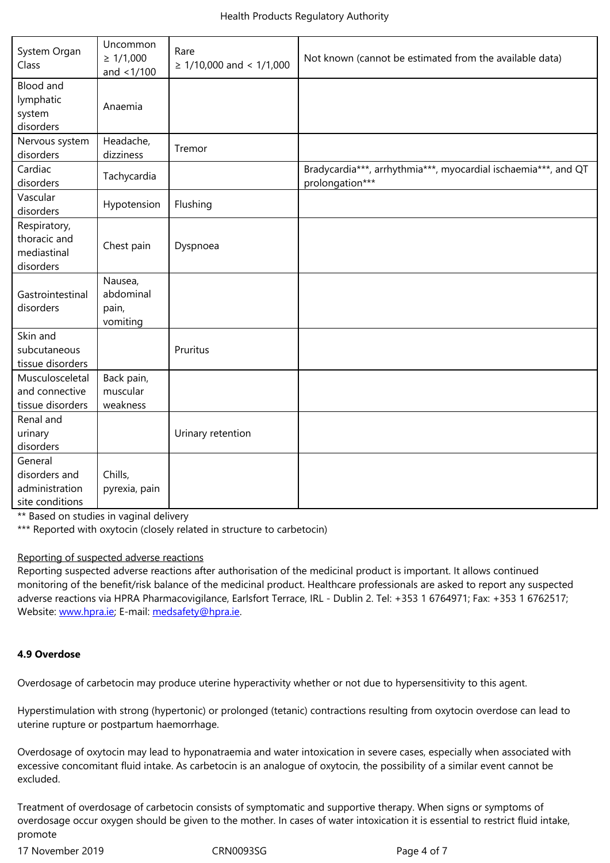| aystem Urgan<br>Class                                         | $\geq 1/1,000$<br>and $<$ 1/100           | nare<br>$\geq$ 1/10,000 and < 1/1,000 | Not known (cannot be estimated from the available data)                           |
|---------------------------------------------------------------|-------------------------------------------|---------------------------------------|-----------------------------------------------------------------------------------|
| <b>Blood and</b><br>lymphatic<br>system<br>disorders          | Anaemia                                   |                                       |                                                                                   |
| Nervous system<br>disorders                                   | Headache,<br>dizziness                    | Tremor                                |                                                                                   |
| Cardiac<br>disorders                                          | Tachycardia                               |                                       | Bradycardia***, arrhythmia***, myocardial ischaemia***, and QT<br>prolongation*** |
| Vascular<br>disorders                                         | Hypotension                               | Flushing                              |                                                                                   |
| Respiratory,<br>thoracic and<br>mediastinal<br>disorders      | Chest pain                                | Dyspnoea                              |                                                                                   |
| Gastrointestinal<br>disorders                                 | Nausea,<br>abdominal<br>pain,<br>vomiting |                                       |                                                                                   |
| Skin and<br>subcutaneous<br>tissue disorders                  |                                           | Pruritus                              |                                                                                   |
| Musculosceletal<br>and connective<br>tissue disorders         | Back pain,<br>muscular<br>weakness        |                                       |                                                                                   |
| Renal and<br>urinary<br>disorders                             |                                           | Urinary retention                     |                                                                                   |
| General<br>disorders and<br>administration<br>site conditions | Chills,<br>pyrexia, pain                  |                                       |                                                                                   |

\*\* Based on studies in vaginal delivery

\*\*\* Reported with oxytocin (closely related in structure to carbetocin)

#### Reporting of suspected adverse reactions

Reporting suspected adverse reactions after authorisation of the medicinal product is important. It allows continued monitoring of the benefit/risk balance of the medicinal product. Healthcare professionals are asked to report any suspected adverse reactions via HPRA Pharmacovigilance, Earlsfort Terrace, IRL - Dublin 2. Tel: +353 1 6764971; Fax: +353 1 6762517; Website: www.hpra.ie; E-mail: medsafety@hpra.ie.

# **4.9 Over[dose](http://www.hpra.ie/)**

Overdosage of carbetocin may produce uterine hyperactivity whether or not due to hypersensitivity to this agent.

Hyperstimulation with strong (hypertonic) or prolonged (tetanic) contractions resulting from oxytocin overdose can lead to uterine rupture or postpartum haemorrhage.

Overdosage of oxytocin may lead to hyponatraemia and water intoxication in severe cases, especially when associated with excessive concomitant fluid intake. As carbetocin is an analogue of oxytocin, the possibility of a similar event cannot be excluded.

Treatment of overdosage of carbetocin consists of symptomatic and supportive therapy. When signs or symptoms of overdosage occur oxygen should be given to the mother. In cases of water intoxication it is essential to restrict fluid intake, promote

17 November 2019 CRN0093SG Page 4 of 7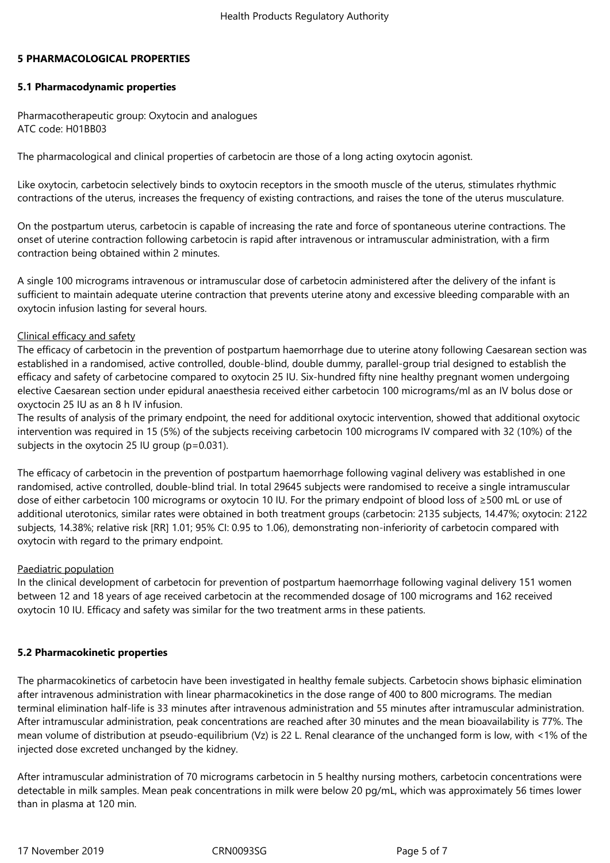#### **5 PHARMACOLOGICAL PROPERTIES**

## **5.1 Pharmacodynamic properties**

Pharmacotherapeutic group: Oxytocin and analogues ATC code: H01BB03

The pharmacological and clinical properties of carbetocin are those of a long acting oxytocin agonist.

Like oxytocin, carbetocin selectively binds to oxytocin receptors in the smooth muscle of the uterus, stimulates rhythmic contractions of the uterus, increases the frequency of existing contractions, and raises the tone of the uterus musculature.

On the postpartum uterus, carbetocin is capable of increasing the rate and force of spontaneous uterine contractions. The onset of uterine contraction following carbetocin is rapid after intravenous or intramuscular administration, with a firm contraction being obtained within 2 minutes.

A single 100 micrograms intravenous or intramuscular dose of carbetocin administered after the delivery of the infant is sufficient to maintain adequate uterine contraction that prevents uterine atony and excessive bleeding comparable with an oxytocin infusion lasting for several hours.

## Clinical efficacy and safety

The efficacy of carbetocin in the prevention of postpartum haemorrhage due to uterine atony following Caesarean section was established in a randomised, active controlled, double-blind, double dummy, parallel-group trial designed to establish the efficacy and safety of carbetocine compared to oxytocin 25 IU. Six-hundred fifty nine healthy pregnant women undergoing elective Caesarean section under epidural anaesthesia received either carbetocin 100 micrograms/ml as an IV bolus dose or oxyctocin 25 IU as an 8 h IV infusion.

The results of analysis of the primary endpoint, the need for additional oxytocic intervention, showed that additional oxytocic intervention was required in 15 (5%) of the subjects receiving carbetocin 100 micrograms IV compared with 32 (10%) of the subjects in the oxytocin 25 IU group (p=0.031).

The efficacy of carbetocin in the prevention of postpartum haemorrhage following vaginal delivery was established in one randomised, active controlled, double-blind trial. In total 29645 subjects were randomised to receive a single intramuscular dose of either carbetocin 100 micrograms or oxytocin 10 IU. For the primary endpoint of blood loss of ≥500 mL or use of additional uterotonics, similar rates were obtained in both treatment groups (carbetocin: 2135 subjects, 14.47%; oxytocin: 2122 subjects, 14.38%; relative risk [RR] 1.01; 95% CI: 0.95 to 1.06), demonstrating non-inferiority of carbetocin compared with oxytocin with regard to the primary endpoint.

# Paediatric population

In the clinical development of carbetocin for prevention of postpartum haemorrhage following vaginal delivery 151 women between 12 and 18 years of age received carbetocin at the recommended dosage of 100 micrograms and 162 received oxytocin 10 IU. Efficacy and safety was similar for the two treatment arms in these patients.

# **5.2 Pharmacokinetic properties**

The pharmacokinetics of carbetocin have been investigated in healthy female subjects. Carbetocin shows biphasic elimination after intravenous administration with linear pharmacokinetics in the dose range of 400 to 800 micrograms. The median terminal elimination half-life is 33 minutes after intravenous administration and 55 minutes after intramuscular administration. After intramuscular administration, peak concentrations are reached after 30 minutes and the mean bioavailability is 77%. The mean volume of distribution at pseudo-equilibrium (Vz) is 22 L. Renal clearance of the unchanged form is low, with <1% of the injected dose excreted unchanged by the kidney.

After intramuscular administration of 70 micrograms carbetocin in 5 healthy nursing mothers, carbetocin concentrations were detectable in milk samples. Mean peak concentrations in milk were below 20 pg/mL, which was approximately 56 times lower than in plasma at 120 min.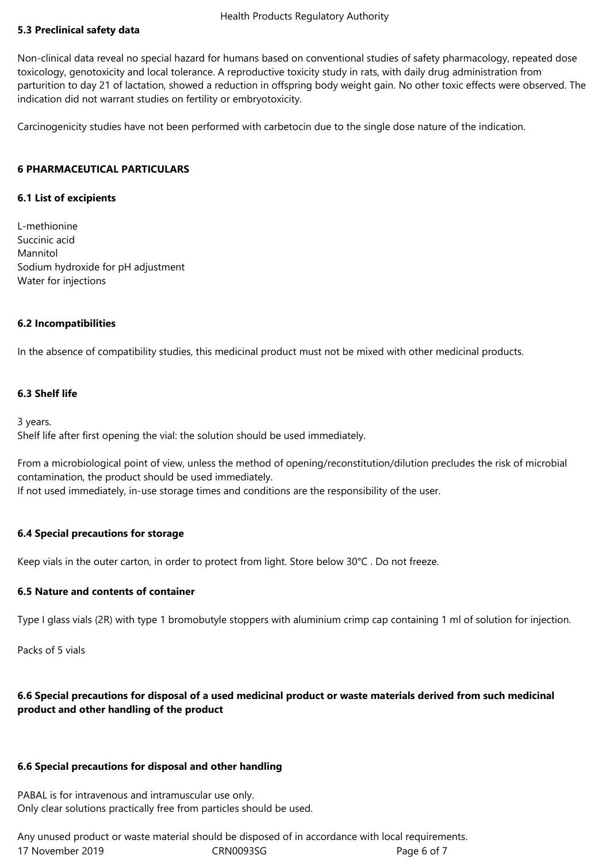# Health Products Regulatory Authority

## **5.3 Preclinical safety data**

Non-clinical data reveal no special hazard for humans based on conventional studies of safety pharmacology, repeated dose toxicology, genotoxicity and local tolerance. A reproductive toxicity study in rats, with daily drug administration from parturition to day 21 of lactation, showed a reduction in offspring body weight gain. No other toxic effects were observed. The indication did not warrant studies on fertility or embryotoxicity.

Carcinogenicity studies have not been performed with carbetocin due to the single dose nature of the indication.

#### **6 PHARMACEUTICAL PARTICULARS**

#### **6.1 List of excipients**

L-methionine Succinic acid Mannitol Sodium hydroxide for pH adjustment Water for injections

#### **6.2 Incompatibilities**

In the absence of compatibility studies, this medicinal product must not be mixed with other medicinal products.

#### **6.3 Shelf life**

3 years.

Shelf life after first opening the vial: the solution should be used immediately.

From a microbiological point of view, unless the method of opening/reconstitution/dilution precludes the risk of microbial contamination, the product should be used immediately. If not used immediately, in-use storage times and conditions are the responsibility of the user.

#### **6.4 Special precautions for storage**

Keep vials in the outer carton, in order to protect from light. Store below 30°C . Do not freeze.

#### **6.5 Nature and contents of container**

Type I glass vials (2R) with type 1 bromobutyle stoppers with aluminium crimp cap containing 1 ml of solution for injection.

Packs of 5 vials

# **6.6 Special precautions for disposal of a used medicinal product or waste materials derived from such medicinal product and other handling of the product**

#### **6.6 Special precautions for disposal and other handling**

PABAL is for intravenous and intramuscular use only. Only clear solutions practically free from particles should be used.

17 November 2019 CRN0093SG Page 6 of 7 Any unused product or waste material should be disposed of in accordance with local requirements.